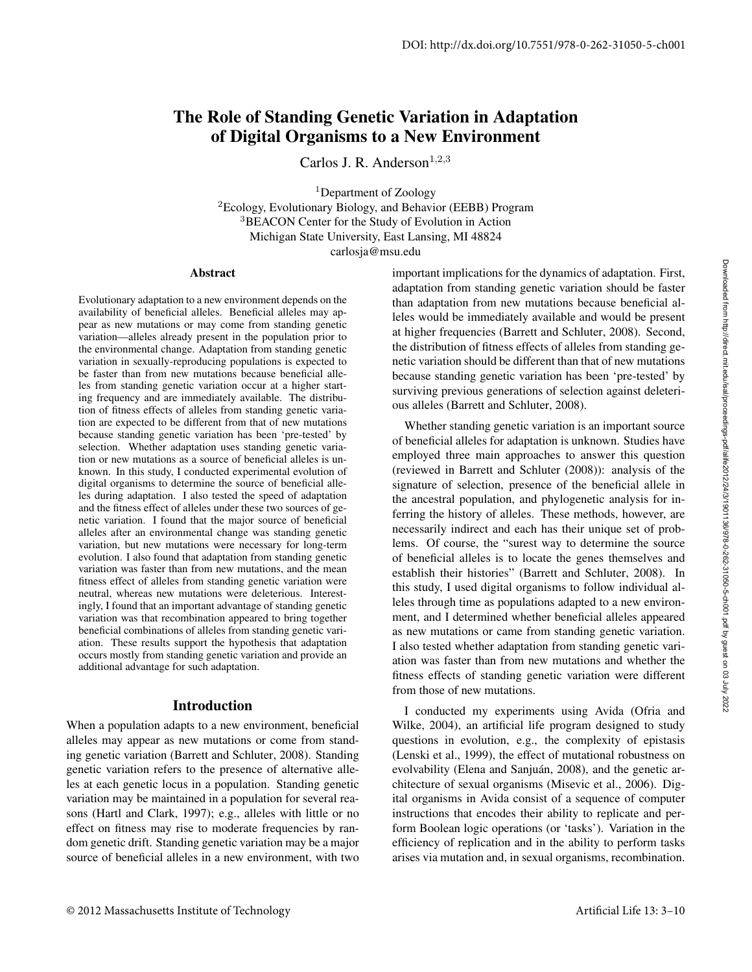# The Role of Standing Genetic Variation in Adaptation of Digital Organisms to a New Environment

Carlos J. R. Anderson $^{1,2,3}$ 

<sup>1</sup>Department of Zoology <sup>2</sup>Ecology, Evolutionary Biology, and Behavior (EEBB) Program <sup>3</sup>BEACON Center for the Study of Evolution in Action Michigan State University, East Lansing, MI 48824 carlosja@msu.edu

#### **Abstract**

Evolutionary adaptation to a new environment depends on the availability of beneficial alleles. Beneficial alleles may appear as new mutations or may come from standing genetic variation—alleles already present in the population prior to the environmental change. Adaptation from standing genetic variation in sexually-reproducing populations is expected to be faster than from new mutations because beneficial alleles from standing genetic variation occur at a higher starting frequency and are immediately available. The distribution of fitness effects of alleles from standing genetic variation are expected to be different from that of new mutations because standing genetic variation has been 'pre-tested' by selection. Whether adaptation uses standing genetic variation or new mutations as a source of beneficial alleles is unknown. In this study, I conducted experimental evolution of digital organisms to determine the source of beneficial alleles during adaptation. I also tested the speed of adaptation and the fitness effect of alleles under these two sources of genetic variation. I found that the major source of beneficial alleles after an environmental change was standing genetic variation, but new mutations were necessary for long-term evolution. I also found that adaptation from standing genetic variation was faster than from new mutations, and the mean fitness effect of alleles from standing genetic variation were neutral, whereas new mutations were deleterious. Interestingly, I found that an important advantage of standing genetic variation was that recombination appeared to bring together beneficial combinations of alleles from standing genetic variation. These results support the hypothesis that adaptation occurs mostly from standing genetic variation and provide an additional advantage for such adaptation.

### Introduction

When a population adapts to a new environment, beneficial alleles may appear as new mutations or come from standing genetic variation (Barrett and Schluter, 2008). Standing genetic variation refers to the presence of alternative alleles at each genetic locus in a population. Standing genetic variation may be maintained in a population for several reasons (Hartl and Clark, 1997); e.g., alleles with little or no effect on fitness may rise to moderate frequencies by random genetic drift. Standing genetic variation may be a major source of beneficial alleles in a new environment, with two

important implications for the dynamics of adaptation. First, adaptation from standing genetic variation should be faster than adaptation from new mutations because beneficial alleles would be immediately available and would be present at higher frequencies (Barrett and Schluter, 2008). Second, the distribution of fitness effects of alleles from standing genetic variation should be different than that of new mutations because standing genetic variation has been 'pre-tested' by surviving previous generations of selection against deleterious alleles (Barrett and Schluter, 2008).

Whether standing genetic variation is an important source of beneficial alleles for adaptation is unknown. Studies have employed three main approaches to answer this question (reviewed in Barrett and Schluter (2008)): analysis of the signature of selection, presence of the beneficial allele in the ancestral population, and phylogenetic analysis for inferring the history of alleles. These methods, however, are necessarily indirect and each has their unique set of problems. Of course, the "surest way to determine the source of beneficial alleles is to locate the genes themselves and establish their histories" (Barrett and Schluter, 2008). In this study, I used digital organisms to follow individual alleles through time as populations adapted to a new environment, and I determined whether beneficial alleles appeared as new mutations or came from standing genetic variation. I also tested whether adaptation from standing genetic variation was faster than from new mutations and whether the fitness effects of standing genetic variation were different from those of new mutations.

I conducted my experiments using Avida (Ofria and Wilke, 2004), an artificial life program designed to study questions in evolution, e.g., the complexity of epistasis (Lenski et al., 1999), the effect of mutational robustness on evolvability (Elena and Sanjuán, 2008), and the genetic architecture of sexual organisms (Misevic et al., 2006). Digital organisms in Avida consist of a sequence of computer instructions that encodes their ability to replicate and perform Boolean logic operations (or 'tasks'). Variation in the efficiency of replication and in the ability to perform tasks arises via mutation and, in sexual organisms, recombination.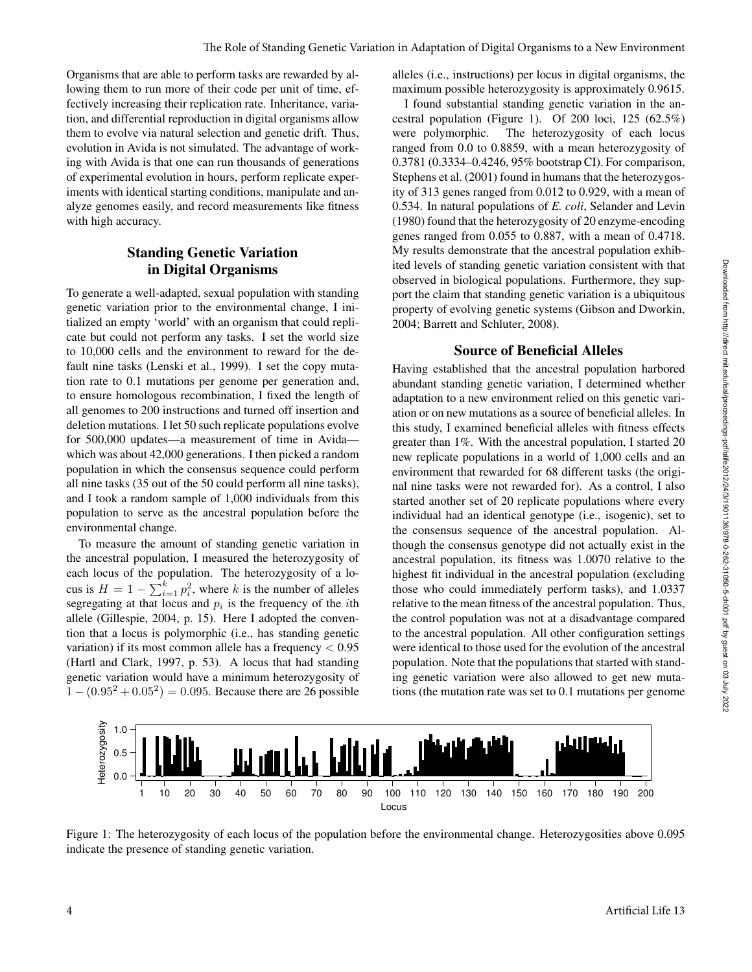Organisms that are able to perform tasks are rewarded by allowing them to run more of their code per unit of time, effectively increasing their replication rate. Inheritance, variation, and differential reproduction in digital organisms allow them to evolve via natural selection and genetic drift. Thus, evolution in Avida is not simulated. The advantage of working with Avida is that one can run thousands of generations of experimental evolution in hours, perform replicate experiments with identical starting conditions, manipulate and analyze genomes easily, and record measurements like fitness with high accuracy.

## Standing Genetic Variation in Digital Organisms

To generate a well-adapted, sexual population with standing genetic variation prior to the environmental change, I initialized an empty 'world' with an organism that could replicate but could not perform any tasks. I set the world size to 10,000 cells and the environment to reward for the default nine tasks (Lenski et al., 1999). I set the copy mutation rate to 0.1 mutations per genome per generation and, to ensure homologous recombination, I fixed the length of all genomes to 200 instructions and turned off insertion and deletion mutations. I let 50 such replicate populations evolve for 500,000 updates—a measurement of time in Avida which was about 42,000 generations. I then picked a random population in which the consensus sequence could perform all nine tasks (35 out of the 50 could perform all nine tasks), and I took a random sample of 1,000 individuals from this population to serve as the ancestral population before the environmental change.

To measure the amount of standing genetic variation in the ancestral population, I measured the heterozygosity of each locus of the population. The heterozygosity of a locus is  $H = 1 - \sum_{i=1}^{k} p_i^2$ , where k is the number of alleles segregating at that locus and  $p_i$  is the frequency of the *i*th allele (Gillespie, 2004, p. 15). Here I adopted the convention that a locus is polymorphic (i.e., has standing genetic variation) if its most common allele has a frequency < 0.95 (Hartl and Clark, 1997, p. 53). A locus that had standing genetic variation would have a minimum heterozygosity of  $1 - (0.95^2 + 0.05^2) = 0.095$ . Because there are 26 possible

alleles (i.e., instructions) per locus in digital organisms, the maximum possible heterozygosity is approximately 0.9615.

I found substantial standing genetic variation in the ancestral population (Figure 1). Of 200 loci, 125 (62.5%) were polymorphic. The heterozygosity of each locus ranged from 0.0 to 0.8859, with a mean heterozygosity of 0.3781 (0.3334–0.4246, 95% bootstrap CI). For comparison, Stephens et al. (2001) found in humans that the heterozygosity of 313 genes ranged from 0.012 to 0.929, with a mean of 0.534. In natural populations of *E. coli*, Selander and Levin (1980) found that the heterozygosity of 20 enzyme-encoding genes ranged from 0.055 to 0.887, with a mean of 0.4718. My results demonstrate that the ancestral population exhibited levels of standing genetic variation consistent with that observed in biological populations. Furthermore, they support the claim that standing genetic variation is a ubiquitous property of evolving genetic systems (Gibson and Dworkin, 2004; Barrett and Schluter, 2008).

## Source of Beneficial Alleles

Having established that the ancestral population harbored abundant standing genetic variation, I determined whether adaptation to a new environment relied on this genetic variation or on new mutations as a source of beneficial alleles. In this study, I examined beneficial alleles with fitness effects greater than 1%. With the ancestral population, I started 20 new replicate populations in a world of 1,000 cells and an environment that rewarded for 68 different tasks (the original nine tasks were not rewarded for). As a control, I also started another set of 20 replicate populations where every individual had an identical genotype (i.e., isogenic), set to the consensus sequence of the ancestral population. Although the consensus genotype did not actually exist in the ancestral population, its fitness was 1.0070 relative to the highest fit individual in the ancestral population (excluding those who could immediately perform tasks), and 1.0337 relative to the mean fitness of the ancestral population. Thus, the control population was not at a disadvantage compared to the ancestral population. All other configuration settings were identical to those used for the evolution of the ancestral population. Note that the populations that started with standing genetic variation were also allowed to get new mutations (the mutation rate was set to 0.1 mutations per genome



Figure 1: The heterozygosity of each locus of the population before the environmental change. Heterozygosities above 0.095 indicate the presence of standing genetic variation.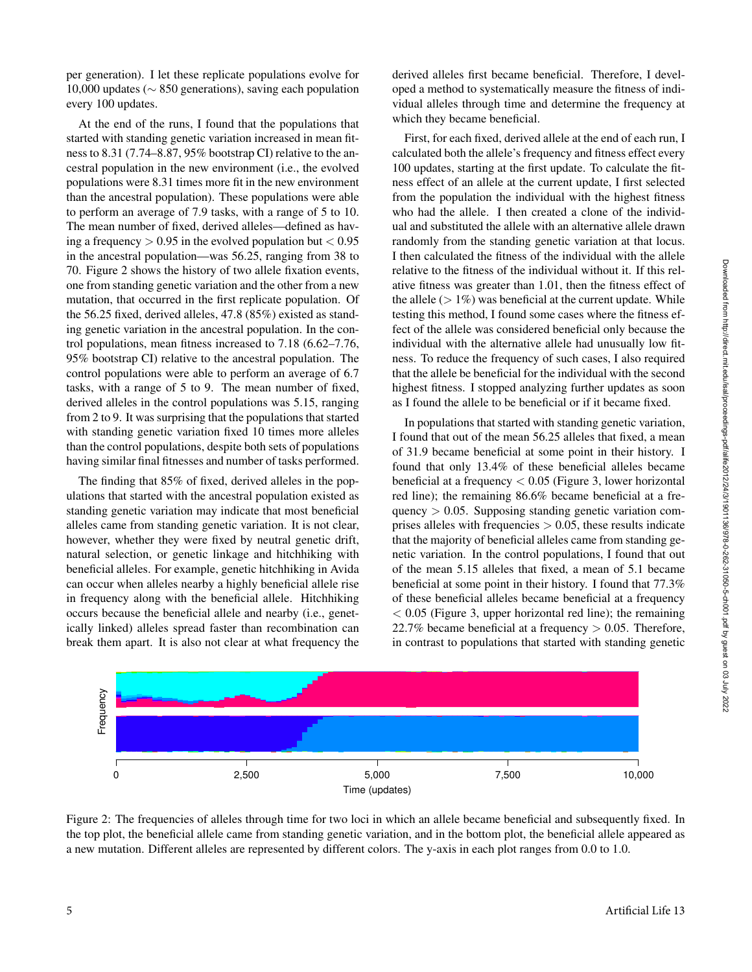per generation). I let these replicate populations evolve for 10,000 updates (∼ 850 generations), saving each population every 100 updates.

At the end of the runs, I found that the populations that started with standing genetic variation increased in mean fitness to 8.31 (7.74–8.87, 95% bootstrap CI) relative to the ancestral population in the new environment (i.e., the evolved populations were 8.31 times more fit in the new environment than the ancestral population). These populations were able to perform an average of 7.9 tasks, with a range of 5 to 10. The mean number of fixed, derived alleles—defined as having a frequency  $> 0.95$  in the evolved population but  $< 0.95$ in the ancestral population—was 56.25, ranging from 38 to 70. Figure 2 shows the history of two allele fixation events, one from standing genetic variation and the other from a new mutation, that occurred in the first replicate population. Of the 56.25 fixed, derived alleles, 47.8 (85%) existed as standing genetic variation in the ancestral population. In the control populations, mean fitness increased to 7.18 (6.62–7.76, 95% bootstrap CI) relative to the ancestral population. The control populations were able to perform an average of 6.7 tasks, with a range of 5 to 9. The mean number of fixed, derived alleles in the control populations was 5.15, ranging from 2 to 9. It was surprising that the populations that started with standing genetic variation fixed 10 times more alleles than the control populations, despite both sets of populations having similar final fitnesses and number of tasks performed.

The finding that 85% of fixed, derived alleles in the populations that started with the ancestral population existed as standing genetic variation may indicate that most beneficial alleles came from standing genetic variation. It is not clear, however, whether they were fixed by neutral genetic drift, natural selection, or genetic linkage and hitchhiking with beneficial alleles. For example, genetic hitchhiking in Avida can occur when alleles nearby a highly beneficial allele rise in frequency along with the beneficial allele. Hitchhiking occurs because the beneficial allele and nearby (i.e., genetically linked) alleles spread faster than recombination can break them apart. It is also not clear at what frequency the derived alleles first became beneficial. Therefore, I developed a method to systematically measure the fitness of individual alleles through time and determine the frequency at which they became beneficial.

First, for each fixed, derived allele at the end of each run, I calculated both the allele's frequency and fitness effect every 100 updates, starting at the first update. To calculate the fitness effect of an allele at the current update, I first selected from the population the individual with the highest fitness who had the allele. I then created a clone of the individual and substituted the allele with an alternative allele drawn randomly from the standing genetic variation at that locus. I then calculated the fitness of the individual with the allele relative to the fitness of the individual without it. If this relative fitness was greater than 1.01, then the fitness effect of the allele  $(> 1\%)$  was beneficial at the current update. While testing this method, I found some cases where the fitness effect of the allele was considered beneficial only because the individual with the alternative allele had unusually low fitness. To reduce the frequency of such cases, I also required that the allele be beneficial for the individual with the second highest fitness. I stopped analyzing further updates as soon as I found the allele to be beneficial or if it became fixed.

In populations that started with standing genetic variation, I found that out of the mean 56.25 alleles that fixed, a mean of 31.9 became beneficial at some point in their history. I found that only 13.4% of these beneficial alleles became beneficial at a frequency  $< 0.05$  (Figure 3, lower horizontal red line); the remaining 86.6% became beneficial at a frequency > 0.05. Supposing standing genetic variation comprises alleles with frequencies  $> 0.05$ , these results indicate that the majority of beneficial alleles came from standing genetic variation. In the control populations, I found that out of the mean 5.15 alleles that fixed, a mean of 5.1 became beneficial at some point in their history. I found that 77.3% of these beneficial alleles became beneficial at a frequency  $< 0.05$  (Figure 3, upper horizontal red line); the remaining 22.7% became beneficial at a frequency  $> 0.05$ . Therefore, in contrast to populations that started with standing genetic



Figure 2: The frequencies of alleles through time for two loci in which an allele became beneficial and subsequently fixed. In the top plot, the beneficial allele came from standing genetic variation, and in the bottom plot, the beneficial allele appeared as a new mutation. Different alleles are represented by different colors. The y-axis in each plot ranges from 0.0 to 1.0.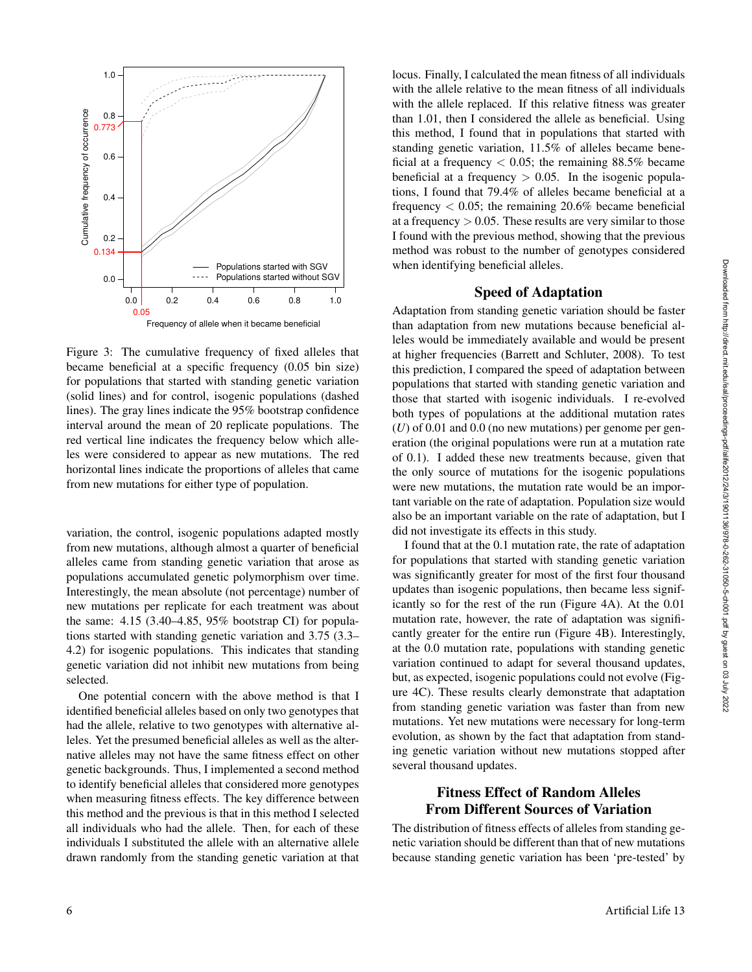

Figure 3: The cumulative frequency of fixed alleles that became beneficial at a specific frequency (0.05 bin size) for populations that started with standing genetic variation (solid lines) and for control, isogenic populations (dashed lines). The gray lines indicate the 95% bootstrap confidence interval around the mean of 20 replicate populations. The red vertical line indicates the frequency below which alleles were considered to appear as new mutations. The red horizontal lines indicate the proportions of alleles that came from new mutations for either type of population.

variation, the control, isogenic populations adapted mostly from new mutations, although almost a quarter of beneficial alleles came from standing genetic variation that arose as populations accumulated genetic polymorphism over time. Interestingly, the mean absolute (not percentage) number of new mutations per replicate for each treatment was about the same: 4.15 (3.40–4.85, 95% bootstrap CI) for populations started with standing genetic variation and 3.75 (3.3– 4.2) for isogenic populations. This indicates that standing genetic variation did not inhibit new mutations from being selected.

One potential concern with the above method is that I identified beneficial alleles based on only two genotypes that had the allele, relative to two genotypes with alternative alleles. Yet the presumed beneficial alleles as well as the alternative alleles may not have the same fitness effect on other genetic backgrounds. Thus, I implemented a second method to identify beneficial alleles that considered more genotypes when measuring fitness effects. The key difference between this method and the previous is that in this method I selected all individuals who had the allele. Then, for each of these individuals I substituted the allele with an alternative allele drawn randomly from the standing genetic variation at that locus. Finally, I calculated the mean fitness of all individuals with the allele relative to the mean fitness of all individuals with the allele replaced. If this relative fitness was greater than 1.01, then I considered the allele as beneficial. Using this method, I found that in populations that started with standing genetic variation, 11.5% of alleles became beneficial at a frequency  $< 0.05$ ; the remaining 88.5% became beneficial at a frequency  $> 0.05$ . In the isogenic populations, I found that 79.4% of alleles became beneficial at a frequency  $< 0.05$ ; the remaining 20.6% became beneficial at a frequency  $> 0.05$ . These results are very similar to those I found with the previous method, showing that the previous method was robust to the number of genotypes considered when identifying beneficial alleles.

#### Speed of Adaptation

Adaptation from standing genetic variation should be faster than adaptation from new mutations because beneficial alleles would be immediately available and would be present at higher frequencies (Barrett and Schluter, 2008). To test this prediction, I compared the speed of adaptation between populations that started with standing genetic variation and those that started with isogenic individuals. I re-evolved both types of populations at the additional mutation rates  $(U)$  of 0.01 and 0.0 (no new mutations) per genome per generation (the original populations were run at a mutation rate of 0.1). I added these new treatments because, given that the only source of mutations for the isogenic populations were new mutations, the mutation rate would be an important variable on the rate of adaptation. Population size would also be an important variable on the rate of adaptation, but I did not investigate its effects in this study.

I found that at the 0.1 mutation rate, the rate of adaptation for populations that started with standing genetic variation was significantly greater for most of the first four thousand updates than isogenic populations, then became less significantly so for the rest of the run (Figure 4A). At the 0.01 mutation rate, however, the rate of adaptation was significantly greater for the entire run (Figure 4B). Interestingly, at the 0.0 mutation rate, populations with standing genetic variation continued to adapt for several thousand updates, but, as expected, isogenic populations could not evolve (Figure 4C). These results clearly demonstrate that adaptation from standing genetic variation was faster than from new mutations. Yet new mutations were necessary for long-term evolution, as shown by the fact that adaptation from standing genetic variation without new mutations stopped after several thousand updates.

## Fitness Effect of Random Alleles From Different Sources of Variation

The distribution of fitness effects of alleles from standing genetic variation should be different than that of new mutations because standing genetic variation has been 'pre-tested' by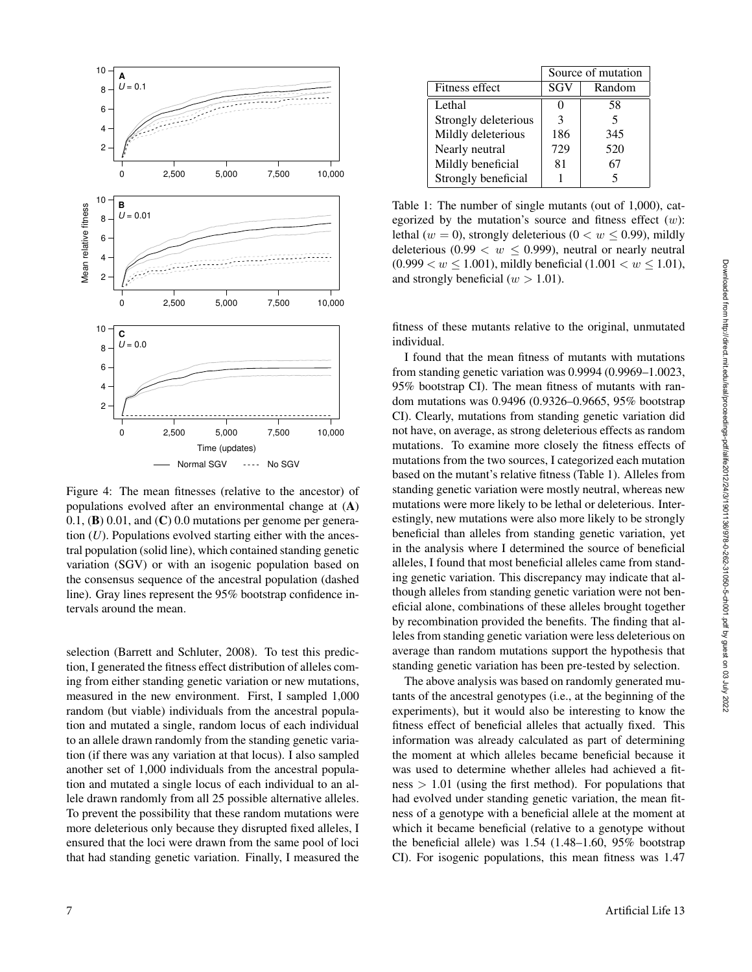

Figure 4: The mean fitnesses (relative to the ancestor) of populations evolved after an environmental change at (A)  $0.1$ , (B)  $0.01$ , and (C)  $0.0$  mutations per genome per generation (*U*). Populations evolved starting either with the ancestral population (solid line), which contained standing genetic variation (SGV) or with an isogenic population based on the consensus sequence of the ancestral population (dashed line). Gray lines represent the 95% bootstrap confidence intervals around the mean.

selection (Barrett and Schluter, 2008). To test this prediction, I generated the fitness effect distribution of alleles coming from either standing genetic variation or new mutations, measured in the new environment. First, I sampled 1,000 random (but viable) individuals from the ancestral population and mutated a single, random locus of each individual to an allele drawn randomly from the standing genetic variation (if there was any variation at that locus). I also sampled another set of 1,000 individuals from the ancestral population and mutated a single locus of each individual to an allele drawn randomly from all 25 possible alternative alleles. To prevent the possibility that these random mutations were more deleterious only because they disrupted fixed alleles, I ensured that the loci were drawn from the same pool of loci that had standing genetic variation. Finally, I measured the

|                      | Source of mutation |        |
|----------------------|--------------------|--------|
| Fitness effect       | SGV                | Random |
| Lethal               | $\mathbf{\Omega}$  | 58     |
| Strongly deleterious | 3                  | 5      |
| Mildly deleterious   | 186                | 345    |
| Nearly neutral       | 729                | 520    |
| Mildly beneficial    | 81                 | 67     |
| Strongly beneficial  |                    | 5      |

Table 1: The number of single mutants (out of 1,000), categorized by the mutation's source and fitness effect  $(w)$ : lethal (w = 0), strongly deleterious ( $0 < w \le 0.99$ ), mildly deleterious (0.99  $\lt w \leq 0.999$ ), neutral or nearly neutral  $(0.999 < w \le 1.001)$ , mildly beneficial  $(1.001 < w \le 1.01)$ , and strongly beneficial ( $w > 1.01$ ).

fitness of these mutants relative to the original, unmutated individual.

I found that the mean fitness of mutants with mutations from standing genetic variation was 0.9994 (0.9969–1.0023, 95% bootstrap CI). The mean fitness of mutants with random mutations was 0.9496 (0.9326–0.9665, 95% bootstrap CI). Clearly, mutations from standing genetic variation did not have, on average, as strong deleterious effects as random mutations. To examine more closely the fitness effects of mutations from the two sources, I categorized each mutation based on the mutant's relative fitness (Table 1). Alleles from standing genetic variation were mostly neutral, whereas new mutations were more likely to be lethal or deleterious. Interestingly, new mutations were also more likely to be strongly beneficial than alleles from standing genetic variation, yet in the analysis where I determined the source of beneficial alleles, I found that most beneficial alleles came from standing genetic variation. This discrepancy may indicate that although alleles from standing genetic variation were not beneficial alone, combinations of these alleles brought together by recombination provided the benefits. The finding that alleles from standing genetic variation were less deleterious on average than random mutations support the hypothesis that standing genetic variation has been pre-tested by selection.

The above analysis was based on randomly generated mutants of the ancestral genotypes (i.e., at the beginning of the experiments), but it would also be interesting to know the fitness effect of beneficial alleles that actually fixed. This information was already calculated as part of determining the moment at which alleles became beneficial because it was used to determine whether alleles had achieved a fit $ness > 1.01$  (using the first method). For populations that had evolved under standing genetic variation, the mean fitness of a genotype with a beneficial allele at the moment at which it became beneficial (relative to a genotype without the beneficial allele) was 1.54 (1.48–1.60, 95% bootstrap CI). For isogenic populations, this mean fitness was 1.47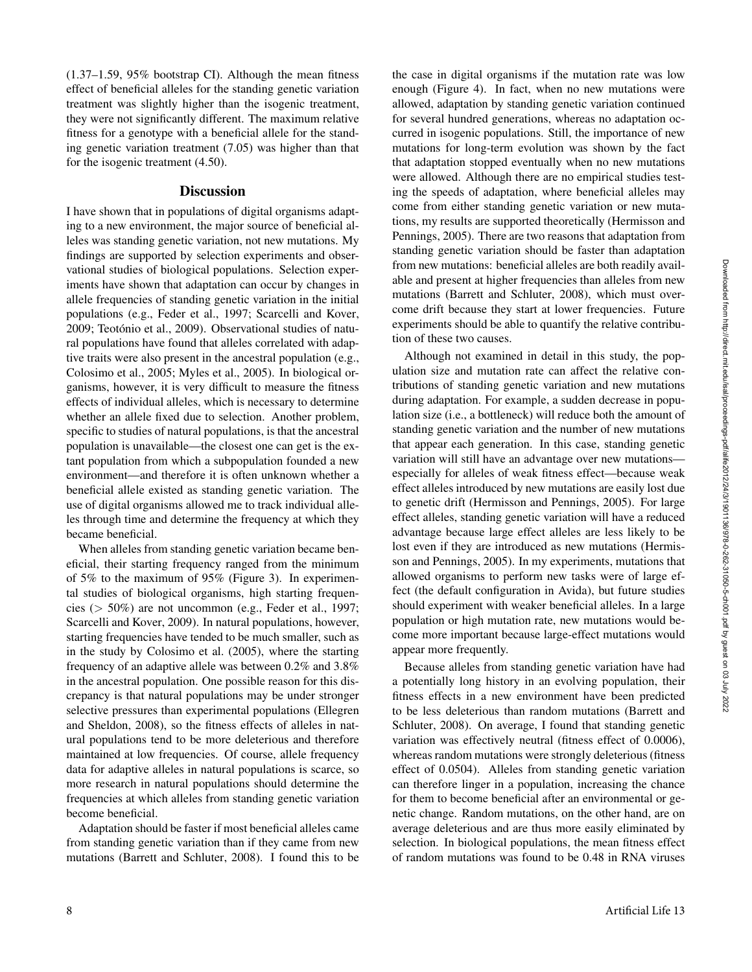(1.37–1.59, 95% bootstrap CI). Although the mean fitness effect of beneficial alleles for the standing genetic variation treatment was slightly higher than the isogenic treatment, they were not significantly different. The maximum relative fitness for a genotype with a beneficial allele for the standing genetic variation treatment (7.05) was higher than that for the isogenic treatment (4.50).

#### **Discussion**

I have shown that in populations of digital organisms adapting to a new environment, the major source of beneficial alleles was standing genetic variation, not new mutations. My findings are supported by selection experiments and observational studies of biological populations. Selection experiments have shown that adaptation can occur by changes in allele frequencies of standing genetic variation in the initial populations (e.g., Feder et al., 1997; Scarcelli and Kover, 2009; Teotónio et al., 2009). Observational studies of natural populations have found that alleles correlated with adaptive traits were also present in the ancestral population (e.g., Colosimo et al., 2005; Myles et al., 2005). In biological organisms, however, it is very difficult to measure the fitness effects of individual alleles, which is necessary to determine whether an allele fixed due to selection. Another problem, specific to studies of natural populations, is that the ancestral population is unavailable—the closest one can get is the extant population from which a subpopulation founded a new environment—and therefore it is often unknown whether a beneficial allele existed as standing genetic variation. The use of digital organisms allowed me to track individual alleles through time and determine the frequency at which they became beneficial.

When alleles from standing genetic variation became beneficial, their starting frequency ranged from the minimum of 5% to the maximum of 95% (Figure 3). In experimental studies of biological organisms, high starting frequencies ( $> 50\%$ ) are not uncommon (e.g., Feder et al., 1997; Scarcelli and Kover, 2009). In natural populations, however, starting frequencies have tended to be much smaller, such as in the study by Colosimo et al. (2005), where the starting frequency of an adaptive allele was between 0.2% and 3.8% in the ancestral population. One possible reason for this discrepancy is that natural populations may be under stronger selective pressures than experimental populations (Ellegren and Sheldon, 2008), so the fitness effects of alleles in natural populations tend to be more deleterious and therefore maintained at low frequencies. Of course, allele frequency data for adaptive alleles in natural populations is scarce, so more research in natural populations should determine the frequencies at which alleles from standing genetic variation become beneficial.

Adaptation should be faster if most beneficial alleles came from standing genetic variation than if they came from new mutations (Barrett and Schluter, 2008). I found this to be

the case in digital organisms if the mutation rate was low enough (Figure 4). In fact, when no new mutations were allowed, adaptation by standing genetic variation continued for several hundred generations, whereas no adaptation occurred in isogenic populations. Still, the importance of new mutations for long-term evolution was shown by the fact that adaptation stopped eventually when no new mutations were allowed. Although there are no empirical studies testing the speeds of adaptation, where beneficial alleles may come from either standing genetic variation or new mutations, my results are supported theoretically (Hermisson and Pennings, 2005). There are two reasons that adaptation from standing genetic variation should be faster than adaptation from new mutations: beneficial alleles are both readily available and present at higher frequencies than alleles from new mutations (Barrett and Schluter, 2008), which must overcome drift because they start at lower frequencies. Future experiments should be able to quantify the relative contribution of these two causes.

Although not examined in detail in this study, the population size and mutation rate can affect the relative contributions of standing genetic variation and new mutations during adaptation. For example, a sudden decrease in population size (i.e., a bottleneck) will reduce both the amount of standing genetic variation and the number of new mutations that appear each generation. In this case, standing genetic variation will still have an advantage over new mutations especially for alleles of weak fitness effect—because weak effect alleles introduced by new mutations are easily lost due to genetic drift (Hermisson and Pennings, 2005). For large effect alleles, standing genetic variation will have a reduced advantage because large effect alleles are less likely to be lost even if they are introduced as new mutations (Hermisson and Pennings, 2005). In my experiments, mutations that allowed organisms to perform new tasks were of large effect (the default configuration in Avida), but future studies should experiment with weaker beneficial alleles. In a large population or high mutation rate, new mutations would become more important because large-effect mutations would appear more frequently.

Because alleles from standing genetic variation have had a potentially long history in an evolving population, their fitness effects in a new environment have been predicted to be less deleterious than random mutations (Barrett and Schluter, 2008). On average, I found that standing genetic variation was effectively neutral (fitness effect of 0.0006), whereas random mutations were strongly deleterious (fitness effect of 0.0504). Alleles from standing genetic variation can therefore linger in a population, increasing the chance for them to become beneficial after an environmental or genetic change. Random mutations, on the other hand, are on average deleterious and are thus more easily eliminated by selection. In biological populations, the mean fitness effect of random mutations was found to be 0.48 in RNA viruses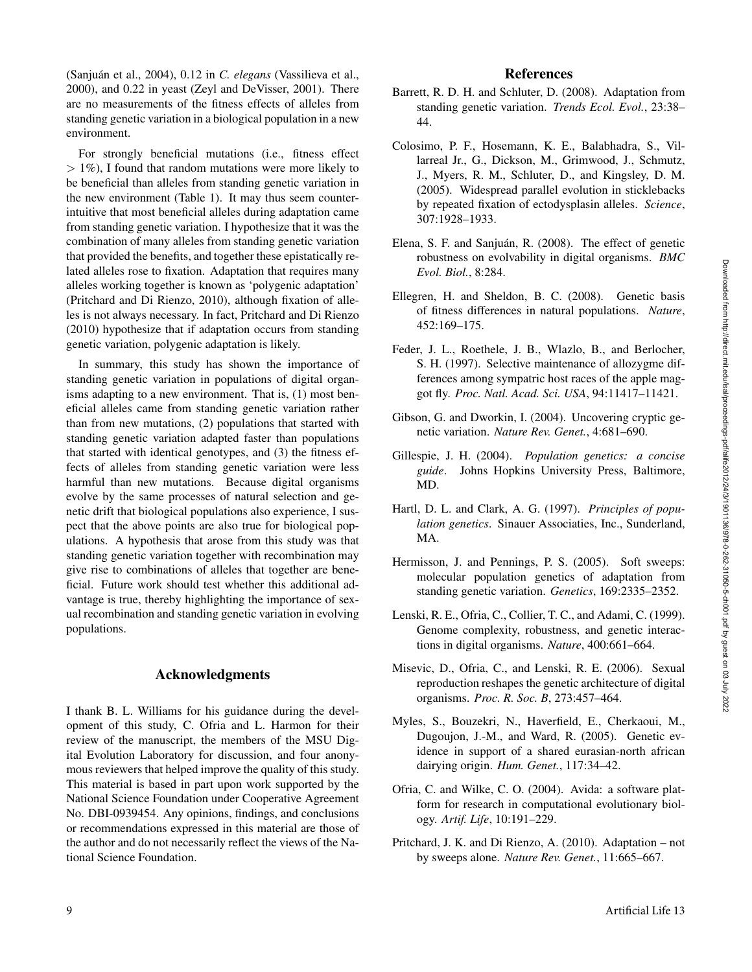(Sanjuán et al., 2004), 0.12 in C. elegans (Vassilieva et al., 2000), and 0.22 in yeast (Zeyl and DeVisser, 2001). There are no measurements of the fitness effects of alleles from standing genetic variation in a biological population in a new environment.

For strongly beneficial mutations (i.e., fitness effect  $> 1\%$ ), I found that random mutations were more likely to be beneficial than alleles from standing genetic variation in the new environment (Table 1). It may thus seem counterintuitive that most beneficial alleles during adaptation came from standing genetic variation. I hypothesize that it was the combination of many alleles from standing genetic variation that provided the benefits, and together these epistatically related alleles rose to fixation. Adaptation that requires many alleles working together is known as 'polygenic adaptation' (Pritchard and Di Rienzo, 2010), although fixation of alleles is not always necessary. In fact, Pritchard and Di Rienzo (2010) hypothesize that if adaptation occurs from standing genetic variation, polygenic adaptation is likely.

In summary, this study has shown the importance of standing genetic variation in populations of digital organisms adapting to a new environment. That is, (1) most beneficial alleles came from standing genetic variation rather than from new mutations, (2) populations that started with standing genetic variation adapted faster than populations that started with identical genotypes, and (3) the fitness effects of alleles from standing genetic variation were less harmful than new mutations. Because digital organisms evolve by the same processes of natural selection and genetic drift that biological populations also experience, I suspect that the above points are also true for biological populations. A hypothesis that arose from this study was that standing genetic variation together with recombination may give rise to combinations of alleles that together are beneficial. Future work should test whether this additional advantage is true, thereby highlighting the importance of sexual recombination and standing genetic variation in evolving populations.

### Acknowledgments

I thank B. L. Williams for his guidance during the development of this study, C. Ofria and L. Harmon for their review of the manuscript, the members of the MSU Digital Evolution Laboratory for discussion, and four anonymous reviewers that helped improve the quality of this study. This material is based in part upon work supported by the National Science Foundation under Cooperative Agreement No. DBI-0939454. Any opinions, findings, and conclusions or recommendations expressed in this material are those of the author and do not necessarily reflect the views of the National Science Foundation.

### References

- Barrett, R. D. H. and Schluter, D. (2008). Adaptation from standing genetic variation. *Trends Ecol. Evol.*, 23:38– 44.
- Colosimo, P. F., Hosemann, K. E., Balabhadra, S., Villarreal Jr., G., Dickson, M., Grimwood, J., Schmutz, J., Myers, R. M., Schluter, D., and Kingsley, D. M. (2005). Widespread parallel evolution in sticklebacks by repeated fixation of ectodysplasin alleles. *Science*, 307:1928–1933.
- Elena, S. F. and Sanjuán, R. (2008). The effect of genetic robustness on evolvability in digital organisms. *BMC Evol. Biol.*, 8:284.
- Ellegren, H. and Sheldon, B. C. (2008). Genetic basis of fitness differences in natural populations. *Nature*, 452:169–175.
- Feder, J. L., Roethele, J. B., Wlazlo, B., and Berlocher, S. H. (1997). Selective maintenance of allozygme differences among sympatric host races of the apple maggot fly. *Proc. Natl. Acad. Sci. USA*, 94:11417–11421.
- Gibson, G. and Dworkin, I. (2004). Uncovering cryptic genetic variation. *Nature Rev. Genet.*, 4:681–690.
- Gillespie, J. H. (2004). *Population genetics: a concise guide*. Johns Hopkins University Press, Baltimore, MD.
- Hartl, D. L. and Clark, A. G. (1997). *Principles of population genetics*. Sinauer Associaties, Inc., Sunderland, MA.
- Hermisson, J. and Pennings, P. S. (2005). Soft sweeps: molecular population genetics of adaptation from standing genetic variation. *Genetics*, 169:2335–2352.
- Lenski, R. E., Ofria, C., Collier, T. C., and Adami, C. (1999). Genome complexity, robustness, and genetic interactions in digital organisms. *Nature*, 400:661–664.
- Misevic, D., Ofria, C., and Lenski, R. E. (2006). Sexual reproduction reshapes the genetic architecture of digital organisms. *Proc. R. Soc. B*, 273:457–464.
- Myles, S., Bouzekri, N., Haverfield, E., Cherkaoui, M., Dugoujon, J.-M., and Ward, R. (2005). Genetic evidence in support of a shared eurasian-north african dairying origin. *Hum. Genet.*, 117:34–42.
- Ofria, C. and Wilke, C. O. (2004). Avida: a software platform for research in computational evolutionary biology. *Artif. Life*, 10:191–229.
- Pritchard, J. K. and Di Rienzo, A. (2010). Adaptation not by sweeps alone. *Nature Rev. Genet.*, 11:665–667.